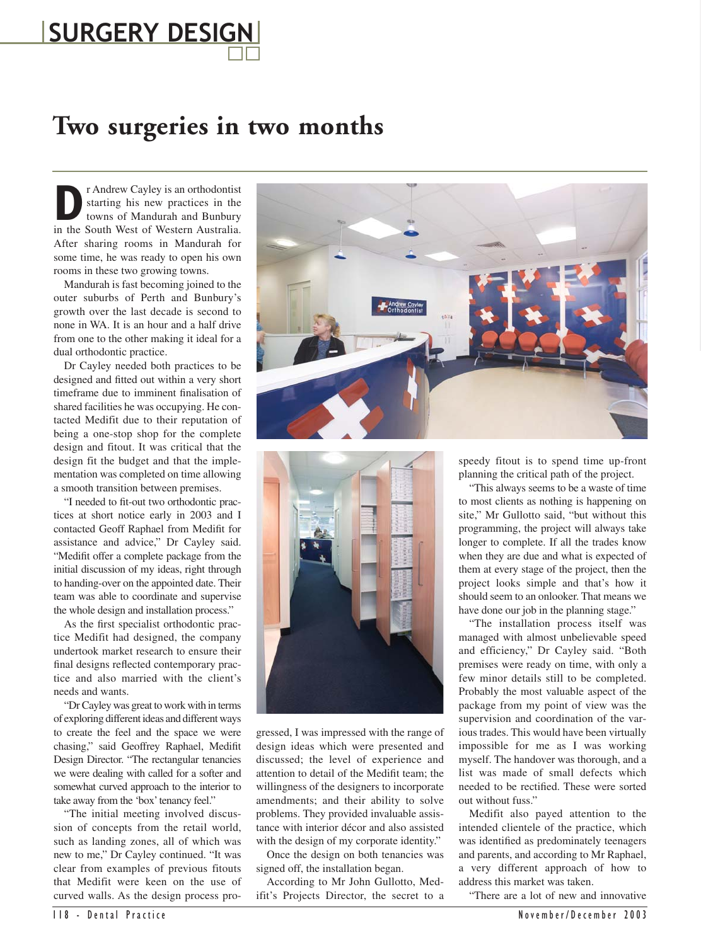## **SURGERY DESIGN**

## **Two surgeries in two months**

**D**<br>**P**r Andrew Cayley is an orthodontist<br>starting his new practices in the<br>towns of Mandurah and Bunbury<br>in the South West of Western Australia. starting his new practices in the towns of Mandurah and Bunbury in the South West of Western Australia. After sharing rooms in Mandurah for some time, he was ready to open his own rooms in these two growing towns.

Mandurah is fast becoming joined to the outer suburbs of Perth and Bunbury's growth over the last decade is second to none in WA. It is an hour and a half drive from one to the other making it ideal for a dual orthodontic practice.

Dr Cayley needed both practices to be designed and fitted out within a very short timeframe due to imminent finalisation of shared facilities he was occupying. He contacted Medifit due to their reputation of being a one-stop shop for the complete design and fitout. It was critical that the design fit the budget and that the implementation was completed on time allowing a smooth transition between premises.

"I needed to fit-out two orthodontic practices at short notice early in 2003 and I contacted Geoff Raphael from Medifit for assistance and advice," Dr Cayley said. "Medifit offer a complete package from the initial discussion of my ideas, right through to handing-over on the appointed date. Their team was able to coordinate and supervise the whole design and installation process."

As the first specialist orthodontic practice Medifit had designed, the company undertook market research to ensure their final designs reflected contemporary practice and also married with the client's needs and wants.

"Dr Cayley was great to work with in terms of exploring different ideas and different ways to create the feel and the space we were chasing," said Geoffrey Raphael, Medifit Design Director. "The rectangular tenancies we were dealing with called for a softer and somewhat curved approach to the interior to take away from the 'box' tenancy feel."

"The initial meeting involved discussion of concepts from the retail world, such as landing zones, all of which was new to me," Dr Cayley continued. "It was clear from examples of previous fitouts that Medifit were keen on the use of curved walls. As the design process pro-





gressed, I was impressed with the range of design ideas which were presented and discussed; the level of experience and attention to detail of the Medifit team; the willingness of the designers to incorporate amendments; and their ability to solve problems. They provided invaluable assistance with interior décor and also assisted with the design of my corporate identity."

Once the design on both tenancies was signed off, the installation began.

According to Mr John Gullotto, Medifit's Projects Director, the secret to a speedy fitout is to spend time up-front planning the critical path of the project.

"This always seems to be a waste of time to most clients as nothing is happening on site," Mr Gullotto said, "but without this programming, the project will always take longer to complete. If all the trades know when they are due and what is expected of them at every stage of the project, then the project looks simple and that's how it should seem to an onlooker. That means we have done our job in the planning stage."

"The installation process itself was managed with almost unbelievable speed and efficiency," Dr Cayley said. "Both premises were ready on time, with only a few minor details still to be completed. Probably the most valuable aspect of the package from my point of view was the supervision and coordination of the various trades. This would have been virtually impossible for me as I was working myself. The handover was thorough, and a list was made of small defects which needed to be rectified. These were sorted out without fuss."

Medifit also payed attention to the intended clientele of the practice, which was identified as predominately teenagers and parents, and according to Mr Raphael, a very different approach of how to address this market was taken.

"There are a lot of new and innovative